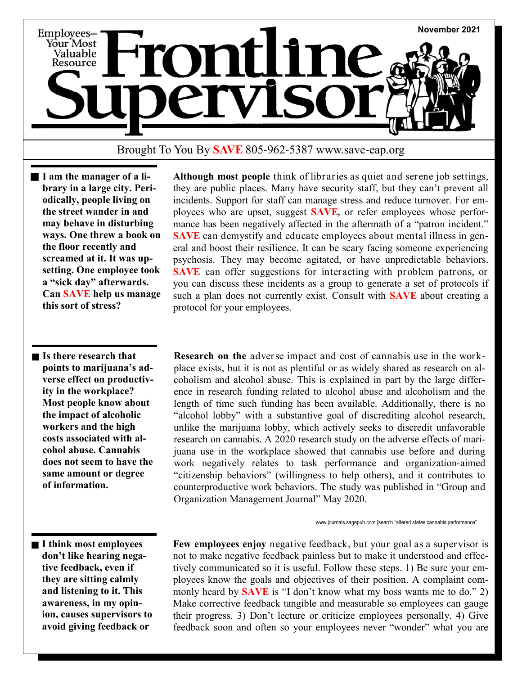

## Brought To You By **SAVE** 805-962-5387 www.save-eap.org

**I am the manager of a library in a large city. Periodically, people living on the street wander in and may behave in disturbing ways. One threw a book on the floor recently and screamed at it. It was upsetting. One employee took a "sick day" afterwards. Can SAVE help us manage this sort of stress?**

**Is there research that points to marijuana's adverse effect on productivity in the workplace? Most people know about the impact of alcoholic workers and the high costs associated with alcohol abuse. Cannabis does not seem to have the same amount or degree of information.** 

 **Although most people** think of libraries as quiet and serene job settings, they are public places. Many have security staff, but they can't prevent all incidents. Support for staff can manage stress and reduce turnover. For employees who are upset, suggest **SAVE**, or refer employees whose performance has been negatively affected in the aftermath of a "patron incident." **SAVE** can demystify and educate employees about mental illness in general and boost their resilience. It can be scary facing someone experiencing psychosis. They may become agitated, or have unpredictable behaviors. **SAVE** can offer suggestions for interacting with problem patrons, or you can discuss these incidents as a group to generate a set of protocols if such a plan does not currently exist. Consult with **SAVE** about creating a protocol for your employees.

 **Research on the** adverse impact and cost of cannabis use in the workplace exists, but it is not as plentiful or as widely shared as research on alcoholism and alcohol abuse. This is explained in part by the large difference in research funding related to alcohol abuse and alcoholism and the length of time such funding has been available. Additionally, there is no "alcohol lobby" with a substantive goal of discrediting alcohol research, unlike the marijuana lobby, which actively seeks to discredit unfavorable research on cannabis. A 2020 research study on the adverse effects of marijuana use in the workplace showed that cannabis use before and during work negatively relates to task performance and organization-aimed "citizenship behaviors" (willingness to help others), and it contributes to counterproductive work behaviors. The study was published in "Group and Organization Management Journal" May 2020.

www.journals.sagepub.com [search "altered states cannabis performance"

**I think most employees don't like hearing negative feedback, even if they are sitting calmly and listening to it. This awareness, in my opinion, causes supervisors to avoid giving feedback or** 

 **Few employees enjoy** negative feedback, but your goal as a supervisor is not to make negative feedback painless but to make it understood and effectively communicated so it is useful. Follow these steps. 1) Be sure your employees know the goals and objectives of their position. A complaint commonly heard by **SAVE** is "I don't know what my boss wants me to do." 2) Make corrective feedback tangible and measurable so employees can gauge their progress. 3) Don't lecture or criticize employees personally. 4) Give feedback soon and often so your employees never "wonder" what you are